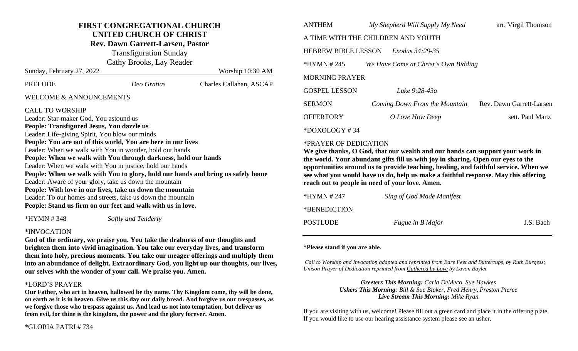# **FIRST CONGREGATIONAL CHURCH UNITED CHURCH OF CHRIST**

**Rev. Dawn Garrett-Larsen, Pastor**

Transfiguration Sunday Cathy Brooks, Lay Reader

| Sunday, February 27, 2022                                                       |             | Worship 10:30 AM        |
|---------------------------------------------------------------------------------|-------------|-------------------------|
| <b>PRELUDE</b>                                                                  | Deo Gratias | Charles Callahan, ASCAP |
| <b>WELCOME &amp; ANNOUNCEMENTS</b>                                              |             |                         |
| <b>CALL TO WORSHIP</b>                                                          |             |                         |
| Leader: Star-maker God, You astound us                                          |             |                         |
| People: Transfigured Jesus, You dazzle us                                       |             |                         |
| Leader: Life-giving Spirit, You blow our minds                                  |             |                         |
| People: You are out of this world, You are here in our lives                    |             |                         |
| Leader: When we walk with You in wonder, hold our hands                         |             |                         |
| People: When we walk with You through darkness, hold our hands                  |             |                         |
| Leader: When we walk with You in justice, hold our hands                        |             |                         |
| People: When we walk with You to glory, hold our hands and bring us safely home |             |                         |
| Leader: Aware of your glory, take us down the mountain                          |             |                         |
| People: With love in our lives, take us down the mountain                       |             |                         |
| Leader: To our homes and streets, take us down the mountain                     |             |                         |
| People: Stand us firm on our feet and walk with us in love.                     |             |                         |

\*HYMN # 348 *Softly and Tenderly*

## \*INVOCATION

**God of the ordinary, we praise you. You take the drabness of our thoughts and brighten them into vivid imagination. You take our everyday lives, and transform them into holy, precious moments. You take our meager offerings and multiply them into an abundance of delight. Extraordinary God, you light up our thoughts, our lives, our selves with the wonder of your call. We praise you. Amen.** 

#### \*LORD'S PRAYER

**Our Father, who art in heaven, hallowed be thy name. Thy Kingdom come, thy will be done, on earth as it is in heaven. Give us this day our daily bread. And forgive us our trespasses, as we forgive those who trespass against us. And lead us not into temptation, but deliver us from evil, for thine is the kingdom, the power and the glory forever. Amen.**

| <b>ANTHEM</b>                                 | My Shepherd Will Supply My Need      | arr. Virgil Thomson      |  |  |
|-----------------------------------------------|--------------------------------------|--------------------------|--|--|
| A TIME WITH THE CHILDREN AND YOUTH            |                                      |                          |  |  |
| <b>HEBREW BIBLE LESSON</b><br>Exodus 34:29-35 |                                      |                          |  |  |
| $*HYMN # 245$                                 | We Have Come at Christ's Own Bidding |                          |  |  |
| <b>MORNING PRAYER</b>                         |                                      |                          |  |  |
| <b>GOSPEL LESSON</b>                          | Luke 9:28-43a                        |                          |  |  |
| <b>SERMON</b>                                 | Coming Down From the Mountain        | Rev. Dawn Garrett-Larsen |  |  |
| <b>OFFERTORY</b>                              | O Love How Deep                      | sett. Paul Manz          |  |  |
| $*$ DOXOLOGY#34                               |                                      |                          |  |  |

#### \*PRAYER OF DEDICATION

**We give thanks, O God, that our wealth and our hands can support your work in the world. Your abundant gifts fill us with joy in sharing. Open our eyes to the opportunities around us to provide teaching, healing, and faithful service. When we see what you would have us do, help us make a faithful response. May this offering reach out to people in need of your love. Amen.** 

| *HYMN # 247  | Sing of God Made Manifest |           |
|--------------|---------------------------|-----------|
| *BENEDICTION |                           |           |
| POSTLUDE     | <i>Fugue in B Major</i>   | J.S. Bach |

#### **\*Please stand if you are able.**

*Call to Worship and Invocation adapted and reprinted from Bare Feet and Buttercups, by Ruth Burgess; Unison Prayer of Dedication reprinted from Gathered by Love by Lavon Bayler*

> *Greeters This Morning: Carla DeMeco, Sue Hawkes Ushers This Morning: Bill & Sue Blaker, Fred Henry, Preston Pierce Live Stream This Morning: Mike Ryan*

If you are visiting with us, welcome! Please fill out a green card and place it in the offering plate. If you would like to use our hearing assistance system please see an usher.